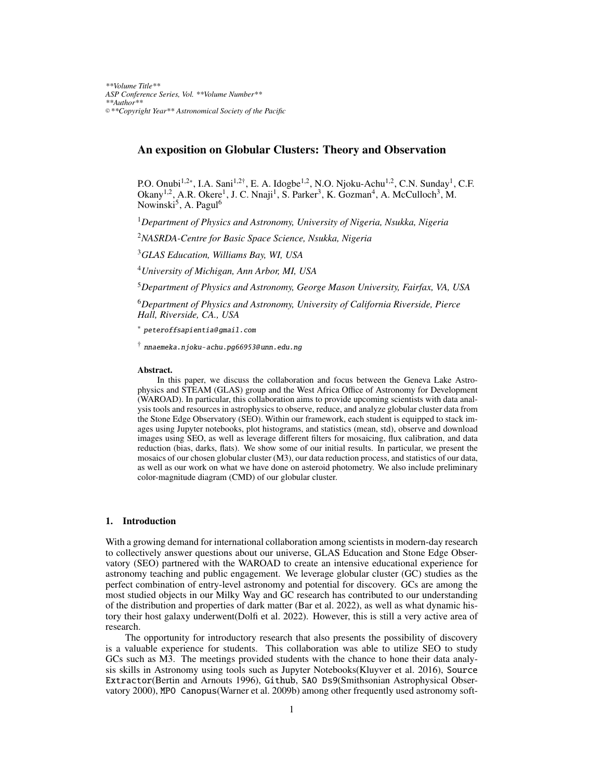# An exposition on Globular Clusters: Theory and Observation

P.O. Onubi<sup>1,2∗</sup>, I.A. Sani<sup>1,2†</sup>, E. A. Idogbe<sup>1,2</sup>, N.O. Njoku-Achu<sup>1,2</sup>, C.N. Sunday<sup>1</sup>, C.F. Okany<sup>1,2</sup>, A.R. Okere<sup>1</sup>, J. C. Nnaji<sup>1</sup>, S. Parker<sup>3</sup>, K. Gozman<sup>4</sup>, A. McCulloch<sup>3</sup>, M. Nowinski<sup>5</sup>, A. Pagul<sup>6</sup>

<sup>1</sup>*Department of Physics and Astronomy, University of Nigeria, Nsukka, Nigeria*

<sup>2</sup>*NASRDA-Centre for Basic Space Science, Nsukka, Nigeria*

<sup>3</sup>*GLAS Education, Williams Bay, WI, USA*

<sup>4</sup>*University of Michigan, Ann Arbor, MI, USA*

<sup>5</sup>*Department of Physics and Astronomy, George Mason University, Fairfax, VA, USA*

<sup>6</sup>*Department of Physics and Astronomy, University of California Riverside, Pierce Hall, Riverside, CA., USA*

∗ [peteroffsapientia@ gmail.com](mailto:peteroffsapientia@gmail.com)

<sup>†</sup> nnaemeka.njoku-achu.pg66953@unn.edu.ng

#### Abstract.

In this paper, we discuss the collaboration and focus between the Geneva Lake Astrophysics and STEAM (GLAS) group and the West Africa Office of Astronomy for Development (WAROAD). In particular, this collaboration aims to provide upcoming scientists with data analysis tools and resources in astrophysics to observe, reduce, and analyze globular cluster data from the Stone Edge Observatory (SEO). Within our framework, each student is equipped to stack images using Jupyter notebooks, plot histograms, and statistics (mean, std), observe and download images using SEO, as well as leverage different filters for mosaicing, flux calibration, and data reduction (bias, darks, flats). We show some of our initial results. In particular, we present the mosaics of our chosen globular cluster (M3), our data reduction process, and statistics of our data, as well as our work on what we have done on asteroid photometry. We also include preliminary color-magnitude diagram (CMD) of our globular cluster.

# 1. Introduction

With a growing demand for international collaboration among scientists in modern-day research to collectively answer questions about our universe, GLAS Education and Stone Edge Observatory (SEO) partnered with the WAROAD to create an intensive educational experience for astronomy teaching and public engagement. We leverage globular cluster (GC) studies as the perfect combination of entry-level astronomy and potential for discovery. GCs are among the most studied objects in our Milky Way and GC research has contributed to our understanding of the distribution and properties of dark matter [\(Bar et al. 2022\)](#page-7-0), as well as what dynamic history their host galaxy underwent[\(Dolfi et al. 2022\)](#page-7-1). However, this is still a very active area of research.

The opportunity for introductory research that also presents the possibility of discovery is a valuable experience for students. This collaboration was able to utilize SEO to study GCs such as M3. The meetings provided students with the chance to hone their data analysis skills in Astronomy using tools such as Jupyter Notebooks[\(Kluyver et al. 2016\)](#page-8-0), Source Extractor[\(Bertin and Arnouts 1996\)](#page-7-2), Github, SAO Ds9[\(Smithsonian Astrophysical Obser](#page-8-1)[vatory 2000\)](#page-8-1), MPO Canopus[\(Warner et al. 2009b\)](#page-8-2) among other frequently used astronomy soft-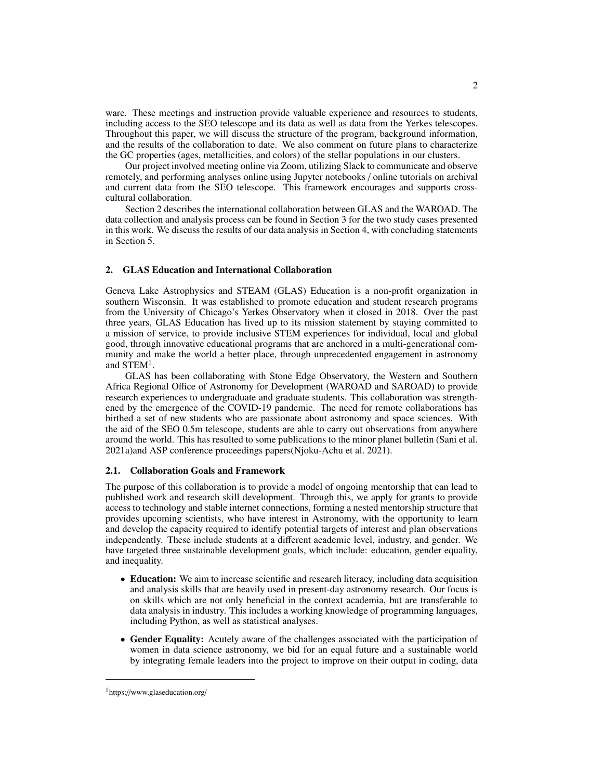ware. These meetings and instruction provide valuable experience and resources to students, including access to the SEO telescope and its data as well as data from the Yerkes telescopes. Throughout this paper, we will discuss the structure of the program, background information, and the results of the collaboration to date. We also comment on future plans to characterize the GC properties (ages, metallicities, and colors) of the stellar populations in our clusters.

Our project involved meeting online via Zoom, utilizing Slack to communicate and observe remotely, and performing analyses online using Jupyter notebooks / online tutorials on archival and current data from the SEO telescope. This framework encourages and supports crosscultural collaboration.

Section [2](#page-1-0) describes the international collaboration between GLAS and the WAROAD. The data collection and analysis process can be found in Section [3](#page-2-0) for the two study cases presented in this work. We discuss the results of our data analysis in Section [4,](#page-5-0) with concluding statements in Section [5.](#page-6-0)

### <span id="page-1-0"></span>2. GLAS Education and International Collaboration

Geneva Lake Astrophysics and STEAM (GLAS) Education is a non-profit organization in southern Wisconsin. It was established to promote education and student research programs from the University of Chicago's Yerkes Observatory when it closed in 2018. Over the past three years, GLAS Education has lived up to its mission statement by staying committed to a mission of service, to provide inclusive STEM experiences for individual, local and global good, through innovative educational programs that are anchored in a multi-generational community and make the world a better place, through unprecedented engagement in astronomy and STEM<sup>[1](#page-1-1)</sup>.

GLAS has been collaborating with Stone Edge Observatory, the Western and Southern Africa Regional Office of Astronomy for Development (WAROAD and SAROAD) to provide research experiences to undergraduate and graduate students. This collaboration was strengthened by the emergence of the COVID-19 pandemic. The need for remote collaborations has birthed a set of new students who are passionate about astronomy and space sciences. With the aid of the SEO 0.5m telescope, students are able to carry out observations from anywhere around the world. This has resulted to some publications to the minor planet bulletin [\(Sani et al.](#page-8-3) [2021a\)](#page-8-3)and ASP conference proceedings papers[\(Njoku-Achu et al. 2021\)](#page-8-4).

# 2.1. Collaboration Goals and Framework

The purpose of this collaboration is to provide a model of ongoing mentorship that can lead to published work and research skill development. Through this, we apply for grants to provide access to technology and stable internet connections, forming a nested mentorship structure that provides upcoming scientists, who have interest in Astronomy, with the opportunity to learn and develop the capacity required to identify potential targets of interest and plan observations independently. These include students at a different academic level, industry, and gender. We have targeted three sustainable development goals, which include: education, gender equality, and inequality.

- Education: We aim to increase scientific and research literacy, including data acquisition and analysis skills that are heavily used in present-day astronomy research. Our focus is on skills which are not only beneficial in the context academia, but are transferable to data analysis in industry. This includes a working knowledge of programming languages, including Python, as well as statistical analyses.
- Gender Equality: Acutely aware of the challenges associated with the participation of women in data science astronomy, we bid for an equal future and a sustainable world by integrating female leaders into the project to improve on their output in coding, data

<span id="page-1-1"></span><sup>1</sup>https://www.glaseducation.org/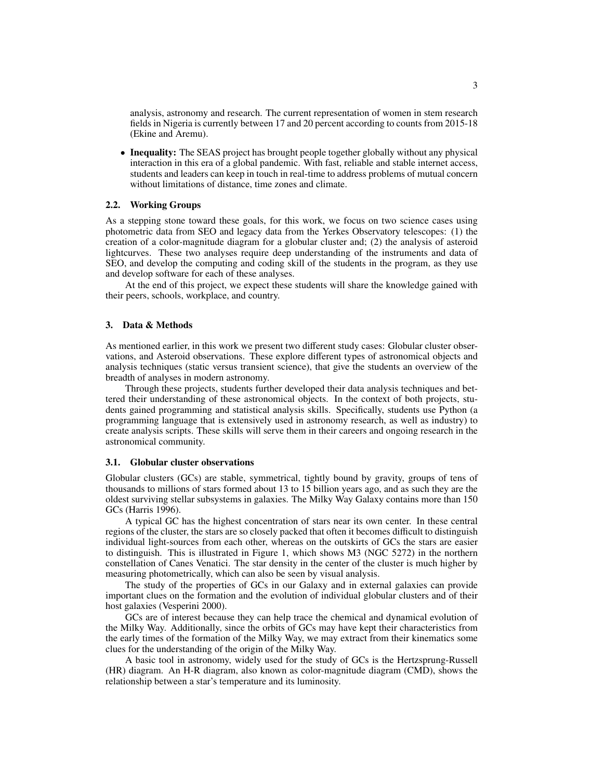analysis, astronomy and research. The current representation of women in stem research fields in Nigeria is currently between 17 and 20 percent according to counts from 2015-18 [\(Ekine and Aremu\)](#page-7-3).

• Inequality: The SEAS project has brought people together globally without any physical interaction in this era of a global pandemic. With fast, reliable and stable internet access, students and leaders can keep in touch in real-time to address problems of mutual concern without limitations of distance, time zones and climate.

### 2.2. Working Groups

As a stepping stone toward these goals, for this work, we focus on two science cases using photometric data from SEO and legacy data from the Yerkes Observatory telescopes: (1) the creation of a color-magnitude diagram for a globular cluster and; (2) the analysis of asteroid lightcurves. These two analyses require deep understanding of the instruments and data of SEO, and develop the computing and coding skill of the students in the program, as they use and develop software for each of these analyses.

At the end of this project, we expect these students will share the knowledge gained with their peers, schools, workplace, and country.

### <span id="page-2-0"></span>3. Data & Methods

As mentioned earlier, in this work we present two different study cases: Globular cluster observations, and Asteroid observations. These explore different types of astronomical objects and analysis techniques (static versus transient science), that give the students an overview of the breadth of analyses in modern astronomy.

Through these projects, students further developed their data analysis techniques and bettered their understanding of these astronomical objects. In the context of both projects, students gained programming and statistical analysis skills. Specifically, students use Python (a programming language that is extensively used in astronomy research, as well as industry) to create analysis scripts. These skills will serve them in their careers and ongoing research in the astronomical community.

#### <span id="page-2-1"></span>3.1. Globular cluster observations

Globular clusters (GCs) are stable, symmetrical, tightly bound by gravity, groups of tens of thousands to millions of stars formed about 13 to 15 billion years ago, and as such they are the oldest surviving stellar subsystems in galaxies. The Milky Way Galaxy contains more than 150 GCs [\(Harris 1996\)](#page-8-5).

A typical GC has the highest concentration of stars near its own center. In these central regions of the cluster, the stars are so closely packed that often it becomes difficult to distinguish individual light-sources from each other, whereas on the outskirts of GCs the stars are easier to distinguish. This is illustrated in Figure [1,](#page-3-0) which shows M3 (NGC 5272) in the northern constellation of Canes Venatici. The star density in the center of the cluster is much higher by measuring photometrically, which can also be seen by visual analysis.

The study of the properties of GCs in our Galaxy and in external galaxies can provide important clues on the formation and the evolution of individual globular clusters and of their host galaxies [\(Vesperini 2000\)](#page-8-6).

GCs are of interest because they can help trace the chemical and dynamical evolution of the Milky Way. Additionally, since the orbits of GCs may have kept their characteristics from the early times of the formation of the Milky Way, we may extract from their kinematics some clues for the understanding of the origin of the Milky Way.

A basic tool in astronomy, widely used for the study of GCs is the Hertzsprung-Russell (HR) diagram. An H-R diagram, also known as color-magnitude diagram (CMD), shows the relationship between a star's temperature and its luminosity.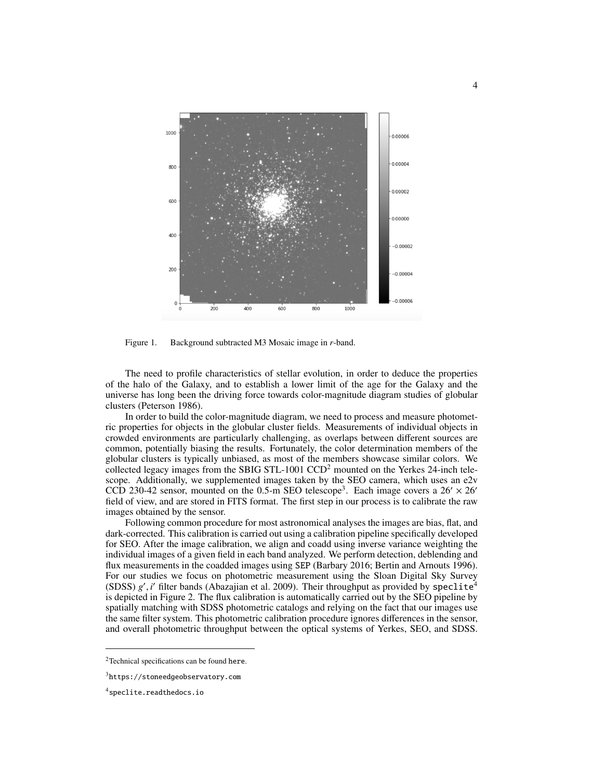

<span id="page-3-0"></span>Figure 1. Background subtracted M3 Mosaic image in *r*-band.

The need to profile characteristics of stellar evolution, in order to deduce the properties of the halo of the Galaxy, and to establish a lower limit of the age for the Galaxy and the universe has long been the driving force towards color-magnitude diagram studies of globular clusters [\(Peterson 1986\)](#page-8-7).

In order to build the color-magnitude diagram, we need to process and measure photometric properties for objects in the globular cluster fields. Measurements of individual objects in crowded environments are particularly challenging, as overlaps between different sources are common, potentially biasing the results. Fortunately, the color determination members of the globular clusters is typically unbiased, as most of the members showcase similar colors. We collected legacy images from the SBIG STL-1001  $CCD<sup>2</sup>$  $CCD<sup>2</sup>$  $CCD<sup>2</sup>$  mounted on the Yerkes 24-inch telescope. Additionally, we supplemented images taken by the SEO camera, which uses an e2v CCD 2[3](#page-3-2)0-42 sensor, mounted on the 0.5-m SEO telescope<sup>3</sup>. Each image covers a 26'  $\times$  26' field of view, and are stored in FITS format. The first step in our process is to calibrate the raw images obtained by the sensor.

Following common procedure for most astronomical analyses the images are bias, flat, and dark-corrected. This calibration is carried out using a calibration pipeline specifically developed for SEO. After the image calibration, we align and coadd using inverse variance weighting the individual images of a given field in each band analyzed. We perform detection, deblending and flux measurements in the coadded images using SEP [\(Barbary 2016;](#page-7-4) [Bertin and Arnouts 1996\)](#page-7-2). For our studies we focus on photometric measurement using the Sloan Digital Sky Survey (SDSS)  $g'$ , *i*<sup>'</sup> filter bands [\(Abazajian et al. 2009\)](#page-7-5). Their throughput as provided by speclite<sup>[4](#page-3-3)</sup> is depicted in Figure 2. The flux calibration is automatically carried out by the SEO pineline by is depicted in Figure [2.](#page-4-0) The flux calibration is automatically carried out by the SEO pipeline by spatially matching with SDSS photometric catalogs and relying on the fact that our images use the same filter system. This photometric calibration procedure ignores differences in the sensor, and overall photometric throughput between the optical systems of Yerkes, SEO, and SDSS.

<span id="page-3-1"></span><sup>2</sup>Technical specifications can be found here.

<span id="page-3-2"></span><sup>3</sup><https://stoneedgeobservatory.com>

<span id="page-3-3"></span><sup>4</sup><speclite.readthedocs.io>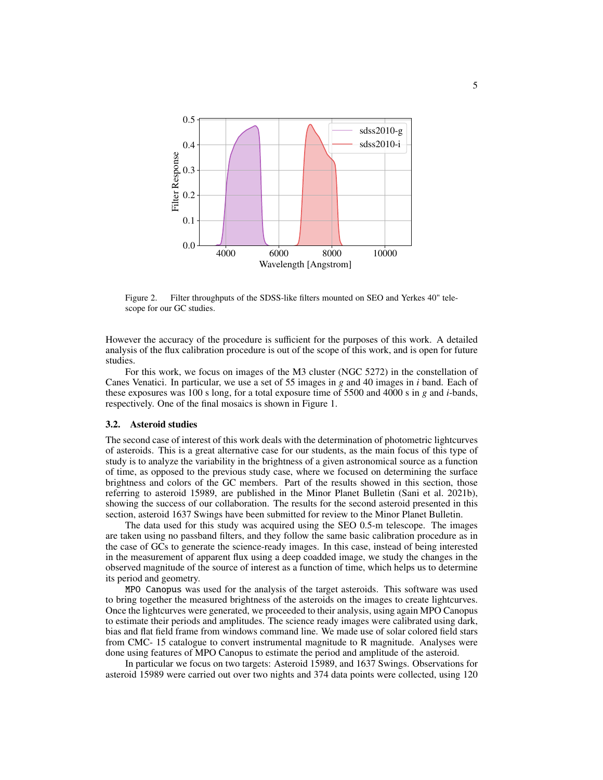

<span id="page-4-0"></span>Figure 2. Filter throughputs of the SDSS-like filters mounted on SEO and Yerkes 40" telescope for our GC studies.

However the accuracy of the procedure is sufficient for the purposes of this work. A detailed analysis of the flux calibration procedure is out of the scope of this work, and is open for future studies.

For this work, we focus on images of the M3 cluster (NGC 5272) in the constellation of Canes Venatici. In particular, we use a set of 55 images in *g* and 40 images in *i* band. Each of these exposures was 100 s long, for a total exposure time of 5500 and 4000 s in *g* and *i*-bands, respectively. One of the final mosaics is shown in Figure [1.](#page-3-0)

# <span id="page-4-1"></span>3.2. Asteroid studies

The second case of interest of this work deals with the determination of photometric lightcurves of asteroids. This is a great alternative case for our students, as the main focus of this type of study is to analyze the variability in the brightness of a given astronomical source as a function of time, as opposed to the previous study case, where we focused on determining the surface brightness and colors of the GC members. Part of the results showed in this section, those referring to asteroid 15989, are published in the Minor Planet Bulletin [\(Sani et al. 2021b\)](#page-8-8), showing the success of our collaboration. The results for the second asteroid presented in this section, asteroid 1637 Swings have been submitted for review to the Minor Planet Bulletin.

The data used for this study was acquired using the SEO 0.5-m telescope. The images are taken using no passband filters, and they follow the same basic calibration procedure as in the case of GCs to generate the science-ready images. In this case, instead of being interested in the measurement of apparent flux using a deep coadded image, we study the changes in the observed magnitude of the source of interest as a function of time, which helps us to determine its period and geometry.

MPO Canopus was used for the analysis of the target asteroids. This software was used to bring together the measured brightness of the asteroids on the images to create lightcurves. Once the lightcurves were generated, we proceeded to their analysis, using again MPO Canopus to estimate their periods and amplitudes. The science ready images were calibrated using dark, bias and flat field frame from windows command line. We made use of solar colored field stars from CMC- 15 catalogue to convert instrumental magnitude to R magnitude. Analyses were done using features of MPO Canopus to estimate the period and amplitude of the asteroid.

In particular we focus on two targets: Asteroid 15989, and 1637 Swings. Observations for asteroid 15989 were carried out over two nights and 374 data points were collected, using 120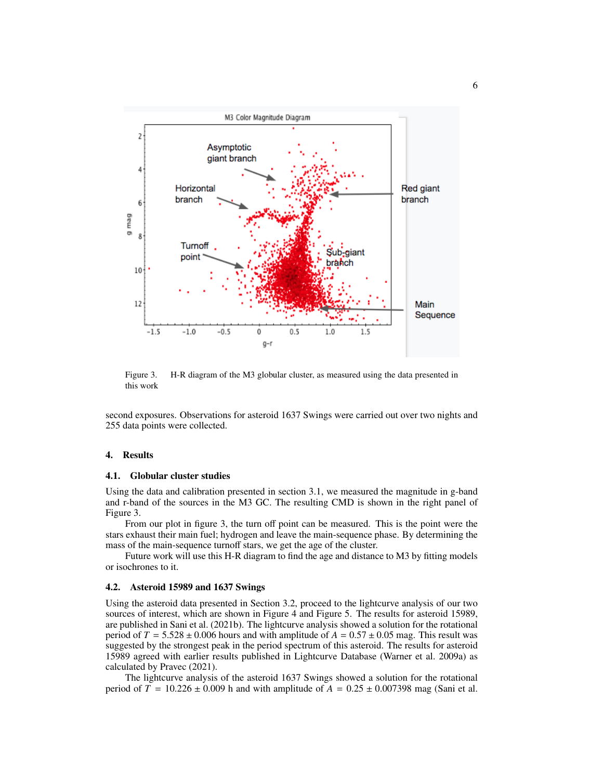

<span id="page-5-1"></span>Figure 3. H-R diagram of the M3 globular cluster, as measured using the data presented in this work

second exposures. Observations for asteroid 1637 Swings were carried out over two nights and 255 data points were collected.

### <span id="page-5-0"></span>4. Results

### 4.1. Globular cluster studies

Using the data and calibration presented in section [3.1,](#page-2-1) we measured the magnitude in g-band and r-band of the sources in the M3 GC. The resulting CMD is shown in the right panel of Figure [3.](#page-5-1)

From our plot in figure [3,](#page-5-1) the turn off point can be measured. This is the point were the stars exhaust their main fuel; hydrogen and leave the main-sequence phase. By determining the mass of the main-sequence turnoff stars, we get the age of the cluster.

Future work will use this H-R diagram to find the age and distance to M3 by fitting models or isochrones to it.

### 4.2. Asteroid 15989 and 1637 Swings

Using the asteroid data presented in Section [3.2,](#page-4-1) proceed to the lightcurve analysis of our two sources of interest, which are shown in Figure [4](#page-6-1) and Figure [5.](#page-6-2) The results for asteroid 15989, are published in [Sani et al.](#page-8-8) [\(2021b\)](#page-8-8). The lightcurve analysis showed a solution for the rotational period of  $T = 5.528 \pm 0.006$  hours and with amplitude of  $A = 0.57 \pm 0.05$  mag. This result was suggested by the strongest peak in the period spectrum of this asteroid. The results for asteroid 15989 agreed with earlier results published in Lightcurve Database [\(Warner et al. 2009a\)](#page-8-9) as calculated by [Pravec](#page-8-10) [\(2021\)](#page-8-10).

The lightcurve analysis of the asteroid 1637 Swings showed a solution for the rotational period of  $T = 10.226 \pm 0.009$  h and with amplitude of  $A = 0.25 \pm 0.007398$  mag (Sani et al.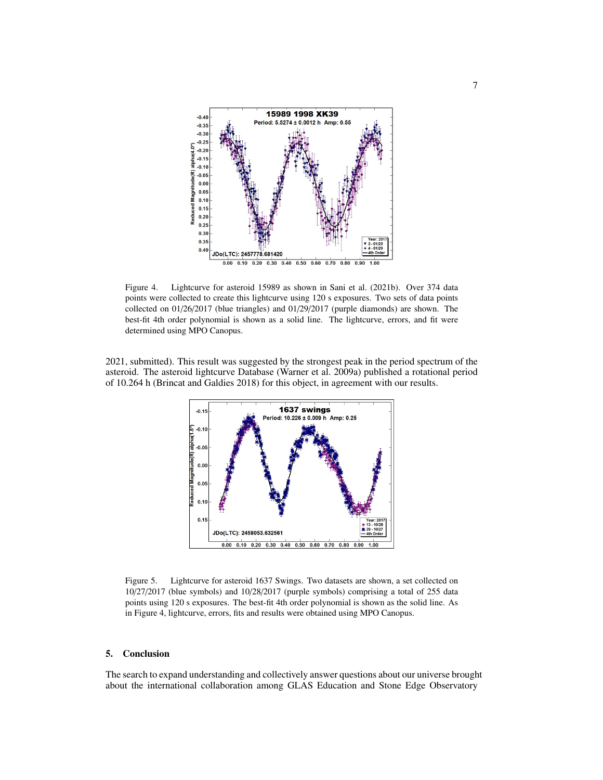![](_page_6_Figure_0.jpeg)

<span id="page-6-1"></span>Figure 4. Lightcurve for asteroid 15989 as shown in [Sani et al.](#page-8-8) [\(2021b\)](#page-8-8). Over 374 data points were collected to create this lightcurve using 120 s exposures. Two sets of data points collected on 01/26/2017 (blue triangles) and 01/29/2017 (purple diamonds) are shown. The best-fit 4th order polynomial is shown as a solid line. The lightcurve, errors, and fit were determined using MPO Canopus.

2021, submitted). This result was suggested by the strongest peak in the period spectrum of the asteroid. The asteroid lightcurve Database [\(Warner et al. 2009a\)](#page-8-9) published a rotational period of 10.264 h [\(Brincat and Galdies 2018\)](#page-7-6) for this object, in agreement with our results.

![](_page_6_Figure_4.jpeg)

<span id="page-6-2"></span>Figure 5. Lightcurve for asteroid 1637 Swings. Two datasets are shown, a set collected on 10/27/2017 (blue symbols) and 10/28/2017 (purple symbols) comprising a total of 255 data points using 120 s exposures. The best-fit 4th order polynomial is shown as the solid line. As in Figure [4,](#page-6-1) lightcurve, errors, fits and results were obtained using MPO Canopus.

# <span id="page-6-0"></span>5. Conclusion

The search to expand understanding and collectively answer questions about our universe brought about the international collaboration among GLAS Education and Stone Edge Observatory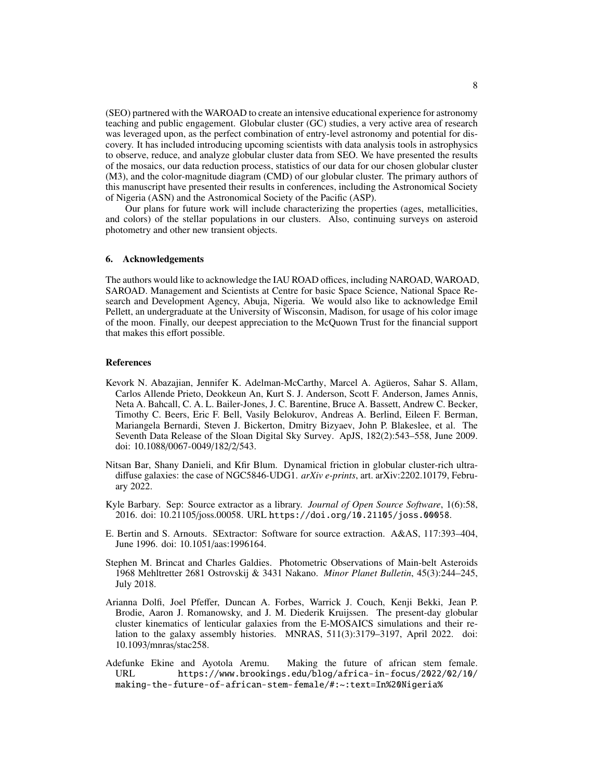(SEO) partnered with the WAROAD to create an intensive educational experience for astronomy teaching and public engagement. Globular cluster (GC) studies, a very active area of research was leveraged upon, as the perfect combination of entry-level astronomy and potential for discovery. It has included introducing upcoming scientists with data analysis tools in astrophysics to observe, reduce, and analyze globular cluster data from SEO. We have presented the results of the mosaics, our data reduction process, statistics of our data for our chosen globular cluster (M3), and the color-magnitude diagram (CMD) of our globular cluster. The primary authors of this manuscript have presented their results in conferences, including the Astronomical Society of Nigeria (ASN) and the Astronomical Society of the Pacific (ASP).

Our plans for future work will include characterizing the properties (ages, metallicities, and colors) of the stellar populations in our clusters. Also, continuing surveys on asteroid photometry and other new transient objects.

### 6. Acknowledgements

The authors would like to acknowledge the IAU ROAD offices, including NAROAD, WAROAD, SAROAD. Management and Scientists at Centre for basic Space Science, National Space Research and Development Agency, Abuja, Nigeria. We would also like to acknowledge Emil Pellett, an undergraduate at the University of Wisconsin, Madison, for usage of his color image of the moon. Finally, our deepest appreciation to the McQuown Trust for the financial support that makes this effort possible.

### References

- <span id="page-7-5"></span>Kevork N. Abazajian, Jennifer K. Adelman-McCarthy, Marcel A. Agüeros, Sahar S. Allam, Carlos Allende Prieto, Deokkeun An, Kurt S. J. Anderson, Scott F. Anderson, James Annis, Neta A. Bahcall, C. A. L. Bailer-Jones, J. C. Barentine, Bruce A. Bassett, Andrew C. Becker, Timothy C. Beers, Eric F. Bell, Vasily Belokurov, Andreas A. Berlind, Eileen F. Berman, Mariangela Bernardi, Steven J. Bickerton, Dmitry Bizyaev, John P. Blakeslee, et al. The Seventh Data Release of the Sloan Digital Sky Survey. ApJS, 182(2):543–558, June 2009. doi: 10.1088/0067-0049/182/2/543.
- <span id="page-7-0"></span>Nitsan Bar, Shany Danieli, and Kfir Blum. Dynamical friction in globular cluster-rich ultradiffuse galaxies: the case of NGC5846-UDG1. *arXiv e-prints*, art. arXiv:2202.10179, February 2022.
- <span id="page-7-4"></span>Kyle Barbary. Sep: Source extractor as a library. *Journal of Open Source Software*, 1(6):58, 2016. doi: 10.21105/joss.00058. URL <https://doi.org/10.21105/joss.00058>.
- <span id="page-7-2"></span>E. Bertin and S. Arnouts. SExtractor: Software for source extraction. A&AS, 117:393–404, June 1996. doi: 10.1051/aas:1996164.
- <span id="page-7-6"></span>Stephen M. Brincat and Charles Galdies. Photometric Observations of Main-belt Asteroids 1968 Mehltretter 2681 Ostrovskij & 3431 Nakano. *Minor Planet Bulletin*, 45(3):244–245, July 2018.
- <span id="page-7-1"></span>Arianna Dolfi, Joel Pfeffer, Duncan A. Forbes, Warrick J. Couch, Kenji Bekki, Jean P. Brodie, Aaron J. Romanowsky, and J. M. Diederik Kruijssen. The present-day globular cluster kinematics of lenticular galaxies from the E-MOSAICS simulations and their relation to the galaxy assembly histories. MNRAS, 511(3):3179–3197, April 2022. doi: 10.1093/mnras/stac258.
- <span id="page-7-3"></span>Adefunke Ekine and Ayotola Aremu. Making the future of african stem female. URL [https://www.brookings.edu/blog/africa-in-focus/2022/02/10/](https://www.brookings.edu/blog/africa-in-focus/2022/02/10/making-the-future-of-african-stem-female/#:~:text=In%20Nigeria%20specifically%2C%20women%20represent,20%20percent%20of%20science%20researchers.) [making-the-future-of-african-stem-female/#:~:text=In%20Nigeria%](https://www.brookings.edu/blog/africa-in-focus/2022/02/10/making-the-future-of-african-stem-female/#:~:text=In%20Nigeria%20specifically%2C%20women%20represent,20%20percent%20of%20science%20researchers.)